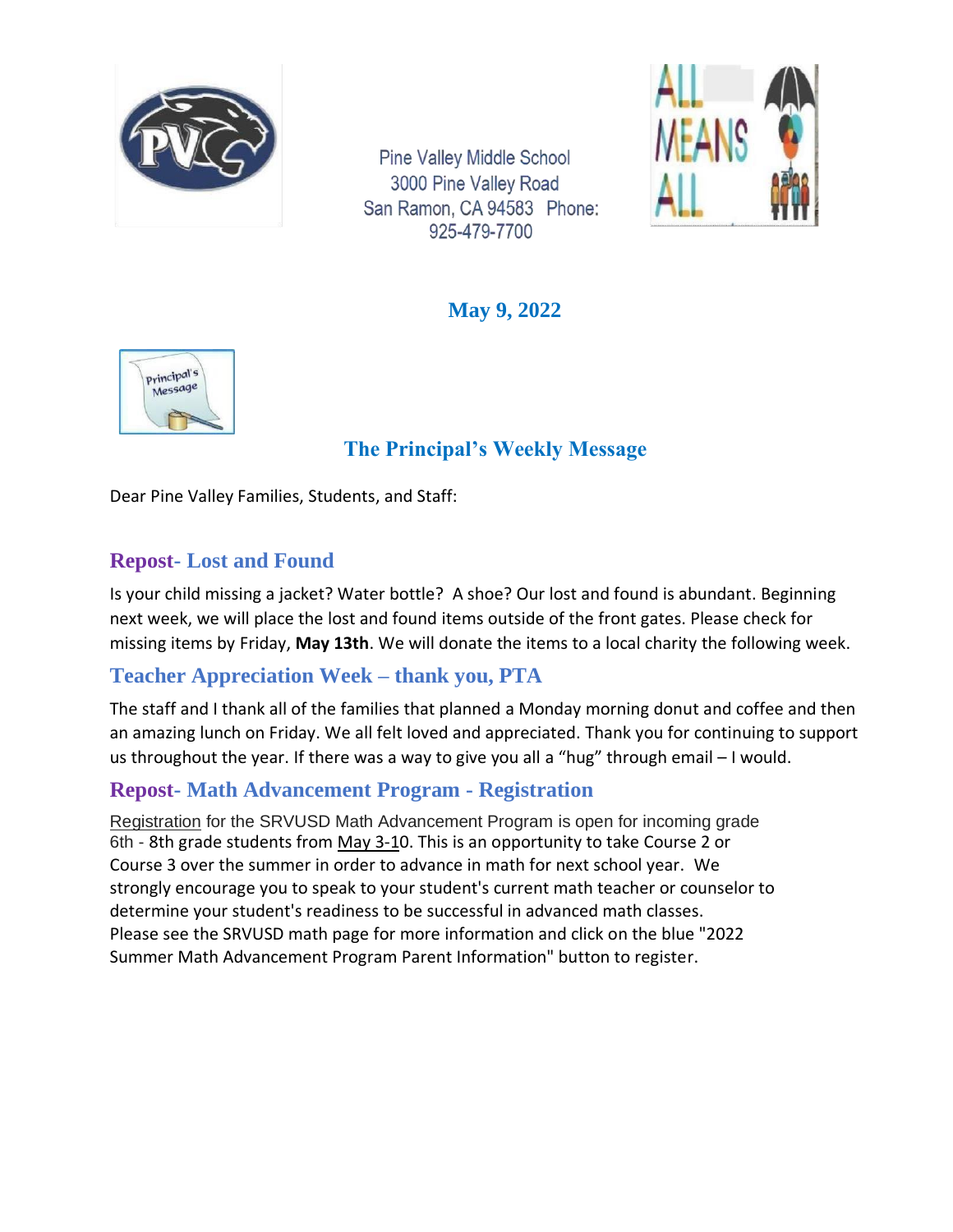

**Pine Valley Middle School** 3000 Pine Valley Road San Ramon, CA 94583 Phone: 925-479-7700



**May 9, 2022**



# **The Principal's Weekly Message**

Dear Pine Valley Families, Students, and Staff:

#### **Repost- Lost and Found**

Is your child missing a jacket? Water bottle? A shoe? Our lost and found is abundant. Beginning next week, we will place the lost and found items outside of the front gates. Please check for missing items by Friday, **May 13th**. We will donate the items to a local charity the following week.

## **Teacher Appreciation Week – thank you, PTA**

The staff and I thank all of the families that planned a Monday morning donut and coffee and then an amazing lunch on Friday. We all felt loved and appreciated. Thank you for continuing to support us throughout the year. If there was a way to give you all a "hug" through email – I would.

## **Repost- Math Advancement Program - Registration**

Registration for the SRVUSD Math Advancement Program is open for incoming grade 6th - 8th grade students from May 3-10. This is an opportunity to take Course 2 or Course 3 over the summer in order to advance in math for next school year. We strongly encourage you to speak to your student's current math teacher or counselor to determine your student's readiness to be successful in advanced math classes. Please see the [SRVUSD math page](https://www.srvusd.net/pf4/cms2/view_page?d=x&group_id=1531973258585&vdid=i20pb1mx3vl2sh) for more information and click on the blue "2022 Summer Math Advancement Program Parent Information" button to register.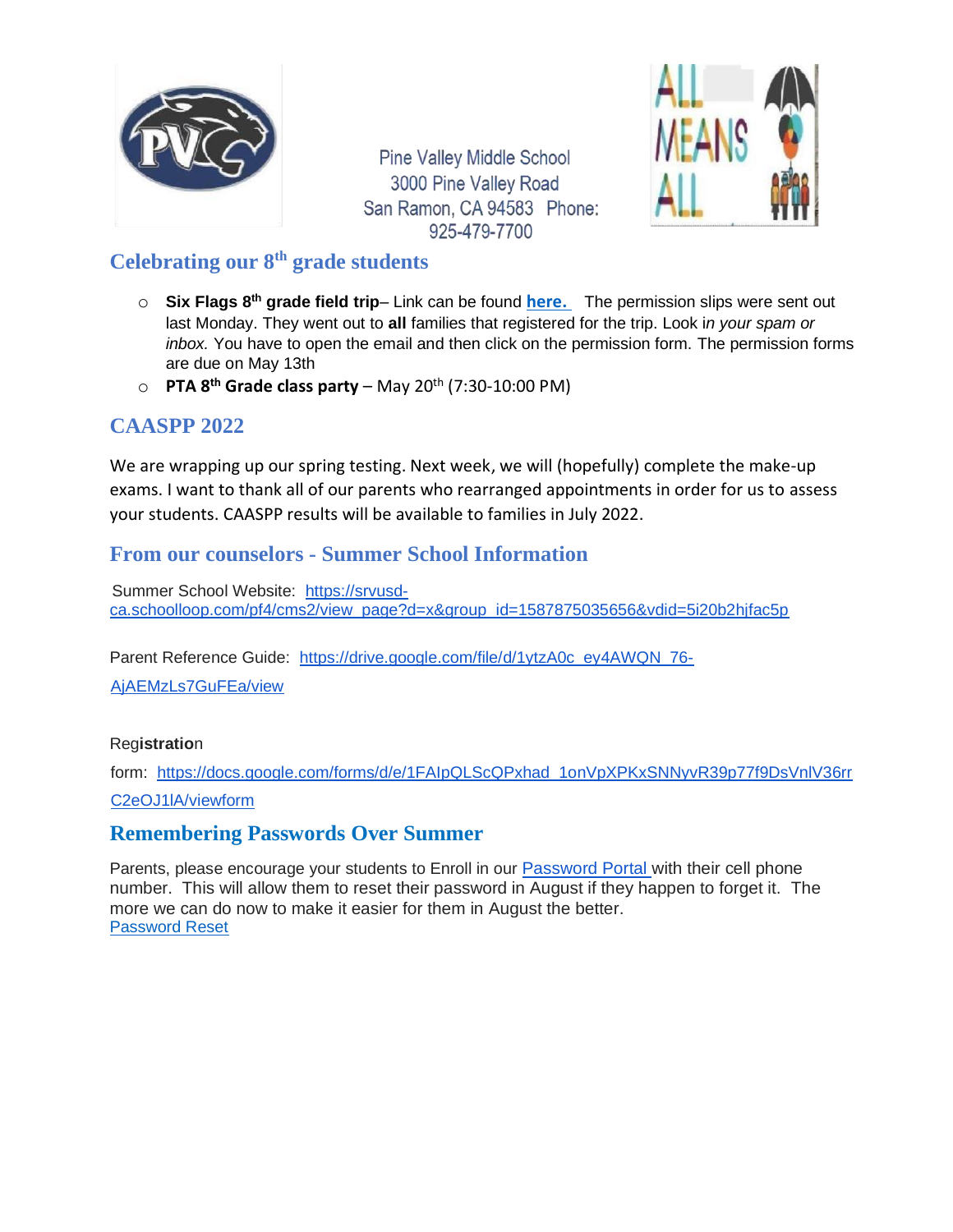

**Pine Valley Middle School** 3000 Pine Valley Road San Ramon, CA 94583 Phone: 925-479-7700



#### **Celebrating our 8th grade students**

- o **Six Flags 8 th grade field trip** Link can be found **[here.](https://pvms.schoolloop.com/)** The permission slips were sent out last Monday. They went out to **all** families that registered for the trip. Look i*n your spam or inbox.* You have to open the email and then click on the permission form. The permission forms are due on May 13th
- o **PTA 8 th Grade class party** May 20th (7:30-10:00 PM)

## **CAASPP 2022**

We are wrapping up our spring testing. Next week, we will (hopefully) complete the make-up exams. I want to thank all of our parents who rearranged appointments in order for us to assess your students. CAASPP results will be available to families in July 2022.

#### **From our counselors - Summer School Information**

Summer School Website: [https://srvusd](https://srvusd-ca.schoolloop.com/pf4/cms2/view_page?d=x&group_id=1587875035656&vdid=5i20b2hjfac5p)[ca.schoolloop.com/pf4/cms2/view\\_page?d=x&group\\_id=1587875035656&vdid=5i20b2hjfac5p](https://srvusd-ca.schoolloop.com/pf4/cms2/view_page?d=x&group_id=1587875035656&vdid=5i20b2hjfac5p)

Parent Reference Guide: [https://drive.google.com/file/d/1ytzA0c\\_ey4AWQN\\_76-](https://drive.google.com/file/d/1ytzA0c_ey4AWQN_76-AjAEMzLs7GuFEa/view)

[AjAEMzLs7GuFEa/view](https://drive.google.com/file/d/1ytzA0c_ey4AWQN_76-AjAEMzLs7GuFEa/view)

#### Reg**istratio**n

form: [https://docs.google.com/forms/d/e/1FAIpQLScQPxhad\\_1onVpXPKxSNNyvR39p77f9DsVnlV36rr](https://docs.google.com/forms/d/e/1FAIpQLScQPxhad_1onVpXPKxSNNyvR39p77f9DsVnlV36rrC2eOJ1lA/viewform) [C2eOJ1lA/viewform](https://docs.google.com/forms/d/e/1FAIpQLScQPxhad_1onVpXPKxSNNyvR39p77f9DsVnlV36rrC2eOJ1lA/viewform)

#### **Remembering Passwords Over Summer**

Parents, please encourage your students to Enroll in our [Password Portal w](https://password.srvusd.net/Enroll/Logon?LanguageId=9)ith their cell phone number. This will allow them to reset their password in August if they happen to forget it. The more we can do now to make it easier for them in August the better. [Password Reset](https://drive.google.com/file/d/1itJda_xtTUnwDYMpKYPHZOtwKQrmKPqo/view)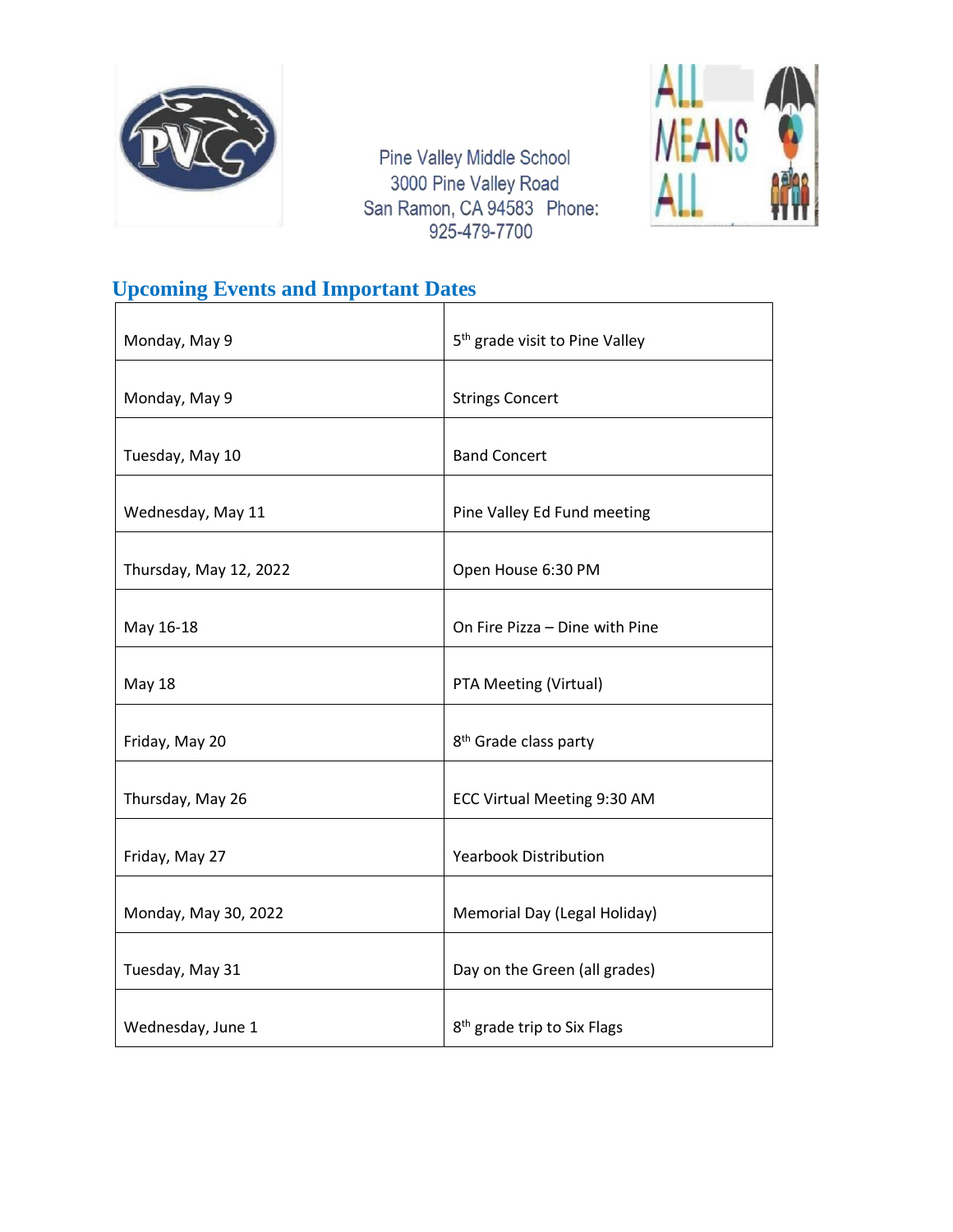

Pine Valley Middle School 3000 Pine Valley Road San Ramon, CA 94583 Phone: 925-479-7700



# **Upcoming Events and Important Dates**

| Monday, May 9          | 5 <sup>th</sup> grade visit to Pine Valley |
|------------------------|--------------------------------------------|
| Monday, May 9          | <b>Strings Concert</b>                     |
| Tuesday, May 10        | <b>Band Concert</b>                        |
| Wednesday, May 11      | Pine Valley Ed Fund meeting                |
| Thursday, May 12, 2022 | Open House 6:30 PM                         |
| May 16-18              | On Fire Pizza - Dine with Pine             |
| <b>May 18</b>          | PTA Meeting (Virtual)                      |
| Friday, May 20         | 8 <sup>th</sup> Grade class party          |
| Thursday, May 26       | ECC Virtual Meeting 9:30 AM                |
| Friday, May 27         | <b>Yearbook Distribution</b>               |
| Monday, May 30, 2022   | Memorial Day (Legal Holiday)               |
| Tuesday, May 31        | Day on the Green (all grades)              |
| Wednesday, June 1      | 8 <sup>th</sup> grade trip to Six Flags    |